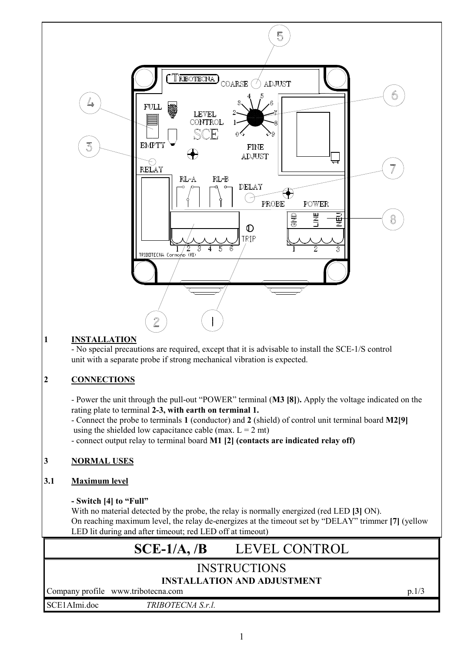

## **INSTALLATION**

 $\mathbf{1}$ 

- No special precautions are required, except that it is advisable to install the SCE-1/S control unit with a separate probe if strong mechanical vibration is expected.

### $\overline{2}$ **CONNECTIONS**

- Power the unit through the pull-out "POWER" terminal (M3 [8]). Apply the voltage indicated on the rating plate to terminal 2-3, with earth on terminal 1.

- Connect the probe to terminals 1 (conductor) and 2 (shield) of control unit terminal board M2[9] using the shielded low capacitance cable (max.  $L = 2$  mt)

- connect output relay to terminal board M1 [2] (contacts are indicated relay off)

### $\overline{3}$ **NORMAL USES**

#### $3.1$ **Maximum level**

## - Switch [4] to "Full"

With no material detected by the probe, the relay is normally energized (red LED [3] ON). On reaching maximum level, the relay de-energizes at the timeout set by "DELAY" trimmer [7] (yellow LED lit during and after timeout; red LED off at timeout)

### LEVEL CONTROL  $SCE-1/A, /B$

# **INSTRUCTIONS**

## **INSTALLATION AND ADJUSTMENT**

Company profile www.tribotecna.com

SCE1AImi.doc

TRIBOTECNA S.r.l.

 $p.1/3$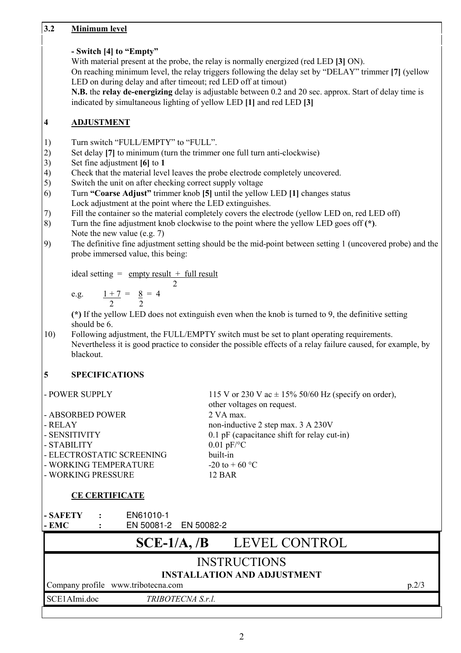### $3.2$ **Minimum level**

## - Switch [4] to "Empty"

With material present at the probe, the relay is normally energized (red LED [3] ON).

On reaching minimum level, the relay triggers following the delay set by "DELAY" trimmer [7] (yellow LED on during delay and after timeout: red LED off at timout)

N.B. the relay de-energizing delay is adjustable between 0.2 and 20 sec. approx. Start of delay time is indicated by simultaneous lighting of yellow LED [1] and red LED [3]

### $\overline{\mathbf{4}}$ **ADJUSTMENT**

- Turn switch "FULL/EMPTY" to "FULL".  $1)$
- Set delay [7] to minimum (turn the trimmer one full turn anti-clockwise)  $(2)$
- $3)$ Set fine adjustment [6] to 1
- Check that the material level leaves the probe electrode completely uncovered.  $4)$
- $5)$ Switch the unit on after checking correct supply voltage
- Turn "Coarse Adjust" trimmer knob [5] until the yellow LED [1] changes status  $6)$ Lock adjustment at the point where the LED extinguishes.
- Fill the container so the material completely covers the electrode (yellow LED on, red LED off) 7)
- Turn the fine adjustment knob clockwise to the point where the yellow LED goes off (\*). 8)
- Note the new value (e.g.  $7$ )
- $9)$ The definitive fine adjustment setting should be the mid-point between setting 1 (uncovered probe) and the probe immersed value, this being:

ideal setting  $=$  empty result  $+$  full result  $\mathfrak{D}$ 

e.g. 
$$
\frac{1+7}{2} = \frac{8}{2} = 4
$$

(\*) If the yellow LED does not extinguish even when the knob is turned to 9, the definitive setting should be 6.

 $10)$ Following adjustment, the FULL/EMPTY switch must be set to plant operating requirements. Nevertheless it is good practice to consider the possible effects of a relay failure caused, for example, by blackout

### 5 **SPECIFICATIONS**

| - POWER SUPPLY                              | 115 V or 230 V ac $\pm$ 15% 50/60 Hz (specify on order),<br>other voltages on request. |
|---------------------------------------------|----------------------------------------------------------------------------------------|
| - ABSORBED POWER                            | 2 VA max.                                                                              |
| - RELAY                                     | non-inductive 2 step max. 3 A 230V                                                     |
| - SENSITIVITY                               | 0.1 pF (capacitance shift for relay cut-in)                                            |
| - STABILITY                                 | $0.01$ pF/ $\rm ^{\circ}C$                                                             |
| - ELECTROSTATIC SCREENING                   | built-in                                                                               |
| - WORKING TEMPERATURE                       | $-20$ to $+60$ °C                                                                      |
| - WORKING PRESSURE                          | 12 BAR                                                                                 |
|                                             |                                                                                        |
| <b>CE CERTIFICATE</b>                       |                                                                                        |
| EN61010-1<br>- SAFETY<br>$\ddot{\cdot}$     |                                                                                        |
| EN 50081-2 EN 50082-2<br>$-$ EMC            |                                                                                        |
| <b>LEVEL CONTROL</b><br>$SCE-1/A, /B$       |                                                                                        |
|                                             |                                                                                        |
| <b>INSTRUCTIONS</b>                         |                                                                                        |
| <b>INSTALLATION AND ADJUSTMENT</b>          |                                                                                        |
| Company profile www.tribotecna.com<br>p.2/3 |                                                                                        |
| SCE1AImi.doc<br>TRIBOTECNA S.r.l.           |                                                                                        |
|                                             |                                                                                        |